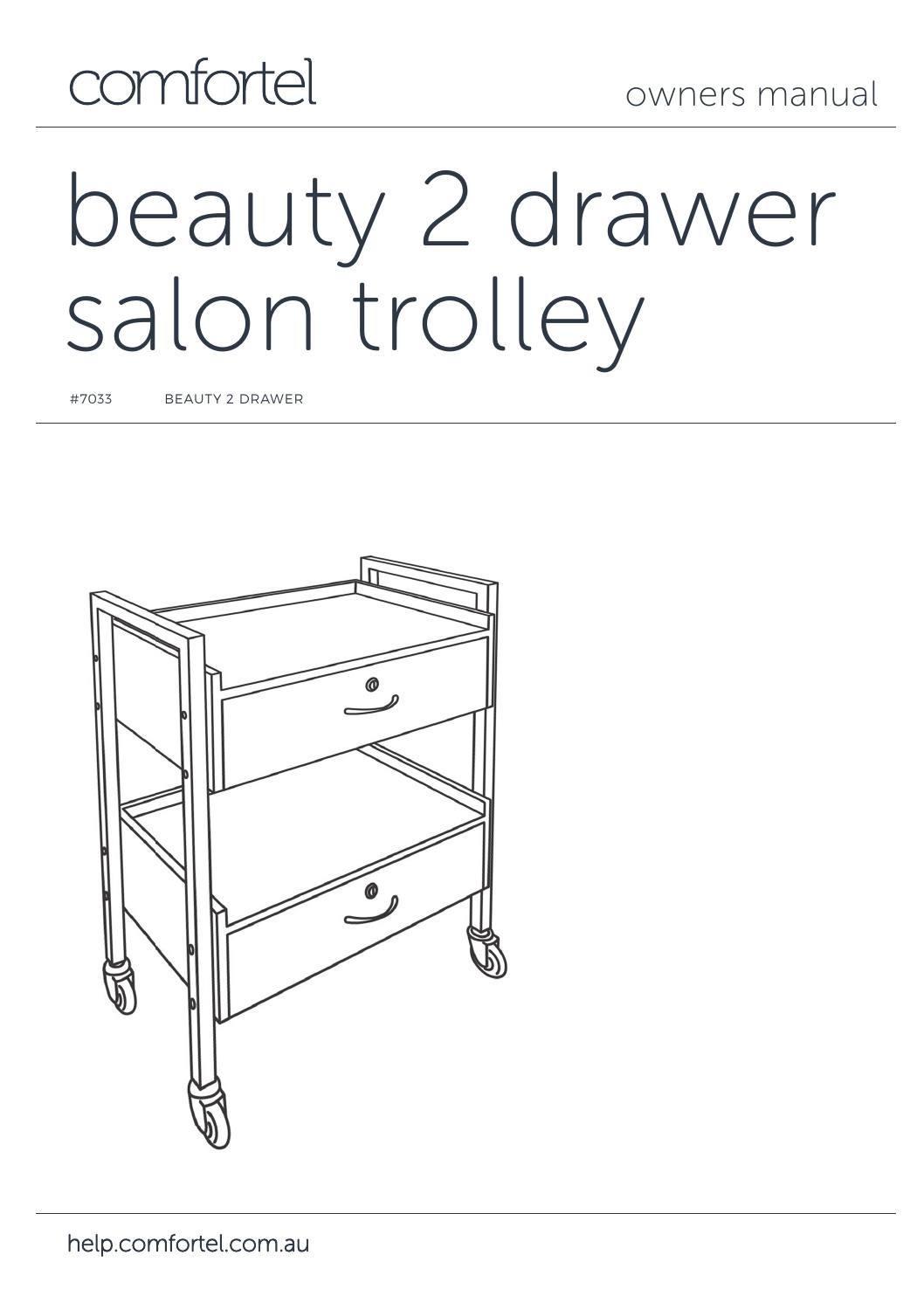## comfortel

# beauty 2 drawer salon trolley

#7033 BEAUTY 2 DRAWER

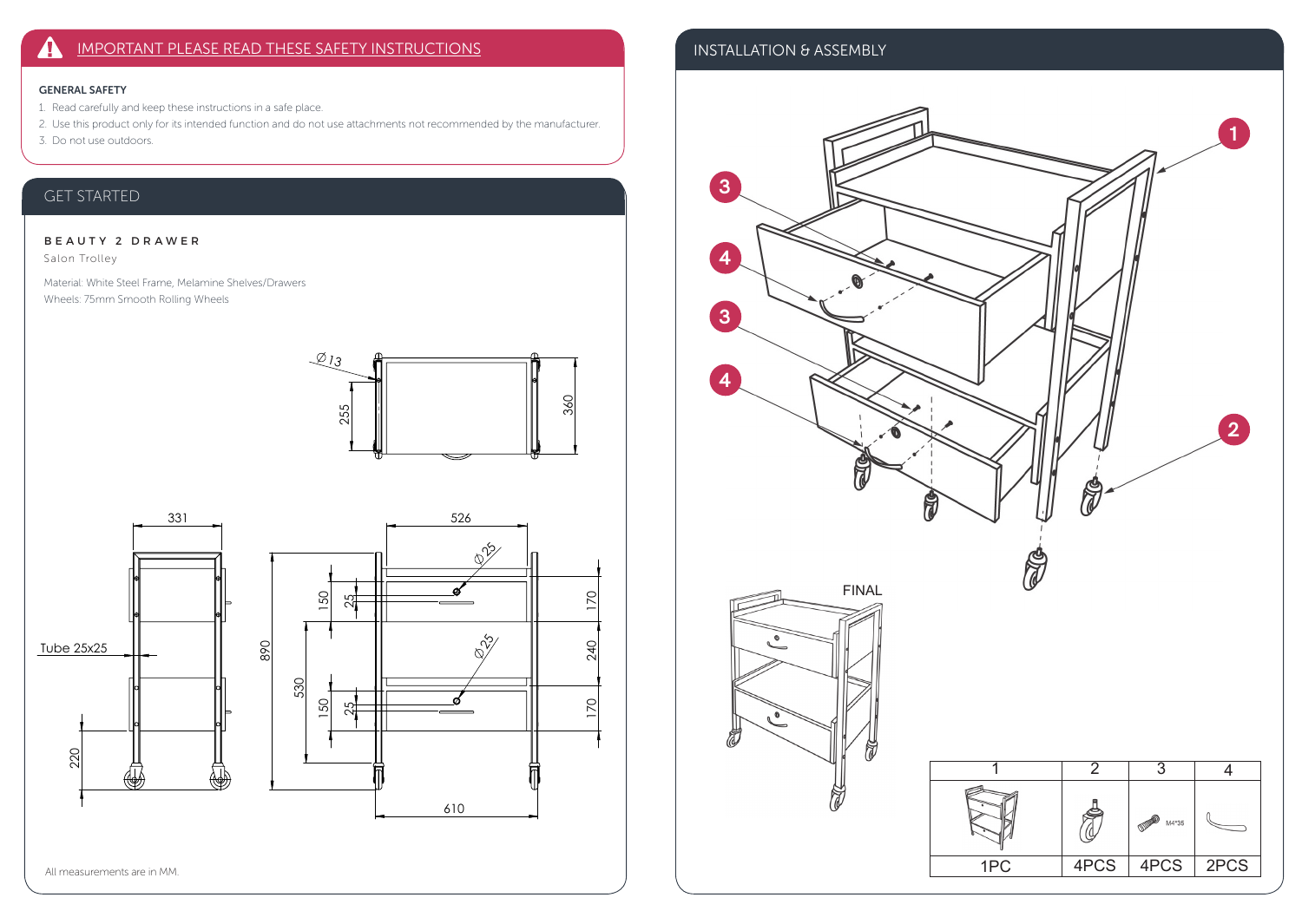### IMPORTANT PLEASE READ THESE SAFETY INSTRUCTIONS  $\blacktriangle$

## GENERAL SAFETY

- 1. Read carefully and keep these instructions in a safe place.
- 2. Use this product only for its intended function and do not use attachments not recommended by the manufacturer.
- 3. Do not use outdoors.

## GET STARTED

## BEAUTY 2 DRAWER

Salon Trolley

Material: White Steel Frame, Melamine Shelves/Drawers Wheels: 75mm Smooth Rolling Wheels





## INSTALLATION & ASSEMBLY